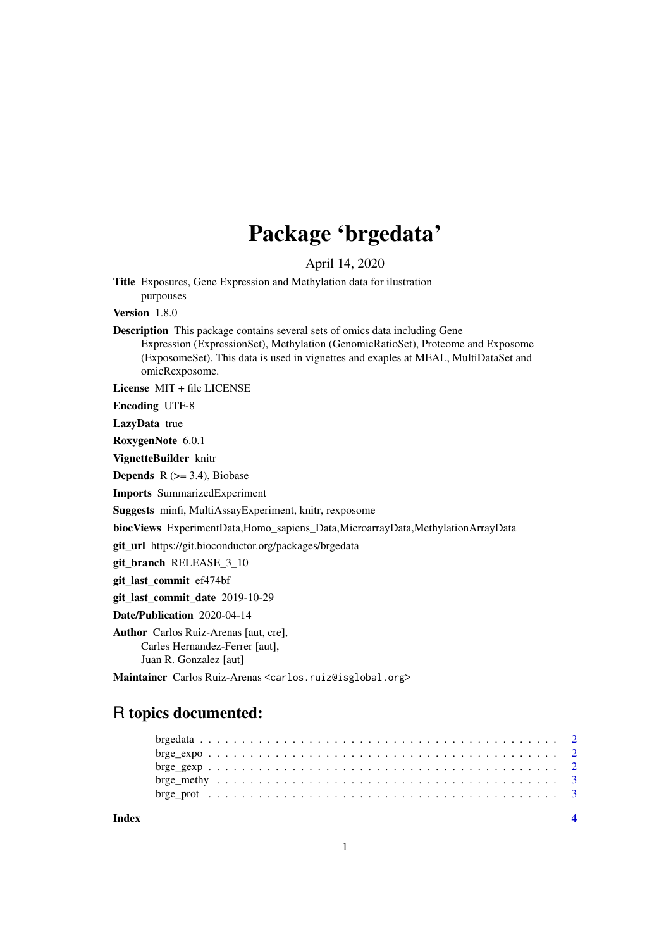# Package 'brgedata'

April 14, 2020

Title Exposures, Gene Expression and Methylation data for ilustration purpouses

Version 1.8.0

Description This package contains several sets of omics data including Gene Expression (ExpressionSet), Methylation (GenomicRatioSet), Proteome and Exposome (ExposomeSet). This data is used in vignettes and exaples at MEAL, MultiDataSet and omicRexposome.

License MIT + file LICENSE

Encoding UTF-8

LazyData true

RoxygenNote 6.0.1

VignetteBuilder knitr

**Depends**  $R$  ( $>= 3.4$ ), Biobase

Imports SummarizedExperiment

Suggests minfi, MultiAssayExperiment, knitr, rexposome

biocViews ExperimentData,Homo\_sapiens\_Data,MicroarrayData,MethylationArrayData

git\_url https://git.bioconductor.org/packages/brgedata

git\_branch RELEASE\_3\_10

git\_last\_commit ef474bf

git\_last\_commit\_date 2019-10-29

Date/Publication 2020-04-14

Author Carlos Ruiz-Arenas [aut, cre], Carles Hernandez-Ferrer [aut], Juan R. Gonzalez [aut]

Maintainer Carlos Ruiz-Arenas <carlos.ruiz@isglobal.org>

# R topics documented:

**Index** [4](#page-3-0)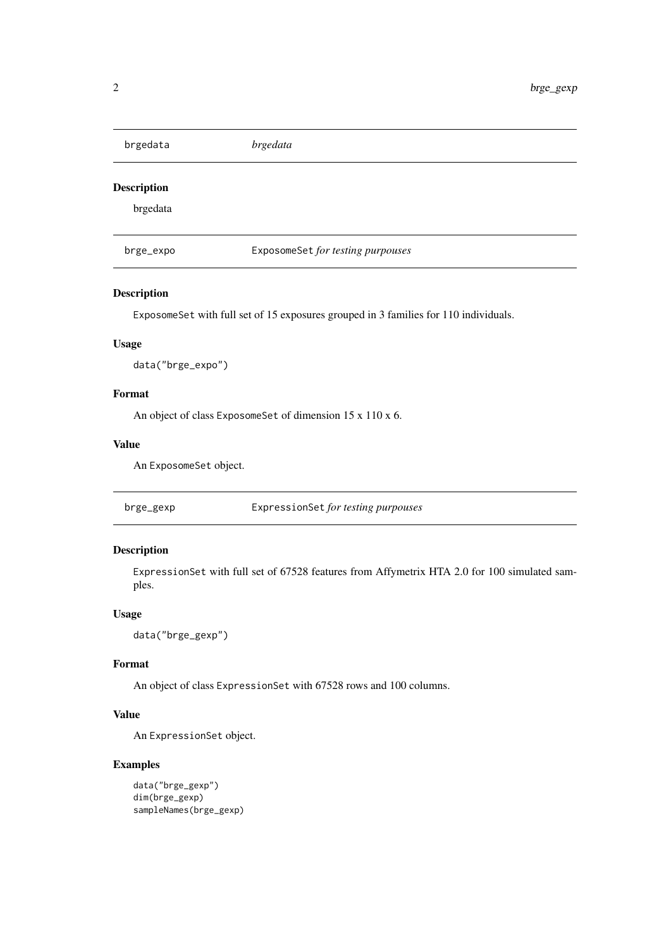<span id="page-1-0"></span>brgedata *brgedata*

# Description

brgedata

brge\_expo ExposomeSet *for testing purpouses*

## Description

ExposomeSet with full set of 15 exposures grouped in 3 families for 110 individuals.

# Usage

data("brge\_expo")

## Format

An object of class ExposomeSet of dimension 15 x 110 x 6.

# Value

An ExposomeSet object.

brge\_gexp ExpressionSet *for testing purpouses*

# Description

ExpressionSet with full set of 67528 features from Affymetrix HTA 2.0 for 100 simulated samples.

# Usage

data("brge\_gexp")

# Format

An object of class ExpressionSet with 67528 rows and 100 columns.

# Value

An ExpressionSet object.

# Examples

```
data("brge_gexp")
dim(brge_gexp)
sampleNames(brge_gexp)
```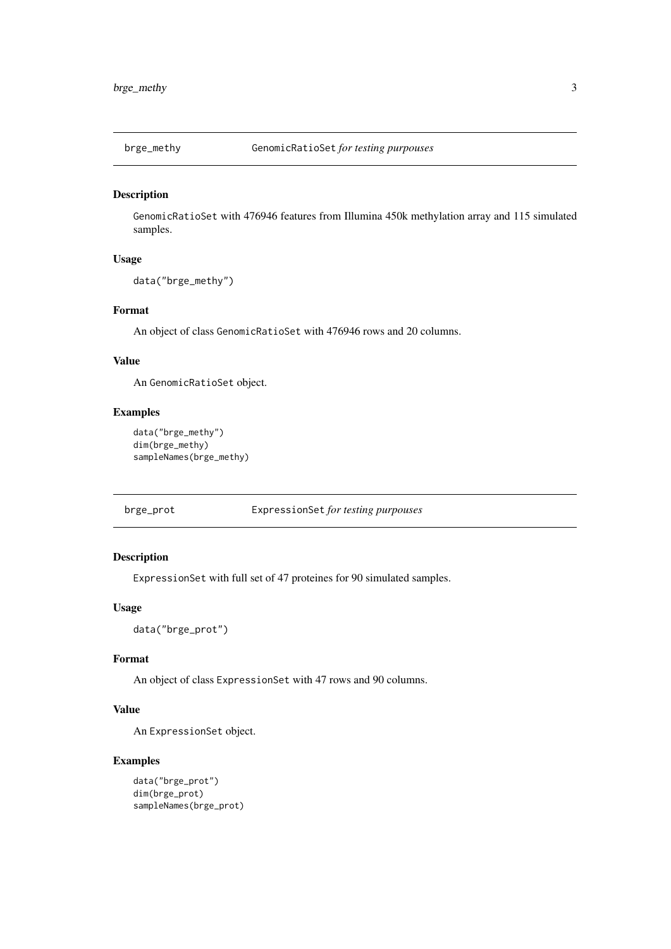<span id="page-2-0"></span>

# Description

GenomicRatioSet with 476946 features from Illumina 450k methylation array and 115 simulated samples.

# Usage

```
data("brge_methy")
```
# Format

An object of class GenomicRatioSet with 476946 rows and 20 columns.

## Value

An GenomicRatioSet object.

# Examples

```
data("brge_methy")
dim(brge_methy)
sampleNames(brge_methy)
```
brge\_prot ExpressionSet *for testing purpouses*

# Description

ExpressionSet with full set of 47 proteines for 90 simulated samples.

#### Usage

data("brge\_prot")

# Format

An object of class ExpressionSet with 47 rows and 90 columns.

# Value

An ExpressionSet object.

## Examples

```
data("brge_prot")
dim(brge_prot)
sampleNames(brge_prot)
```